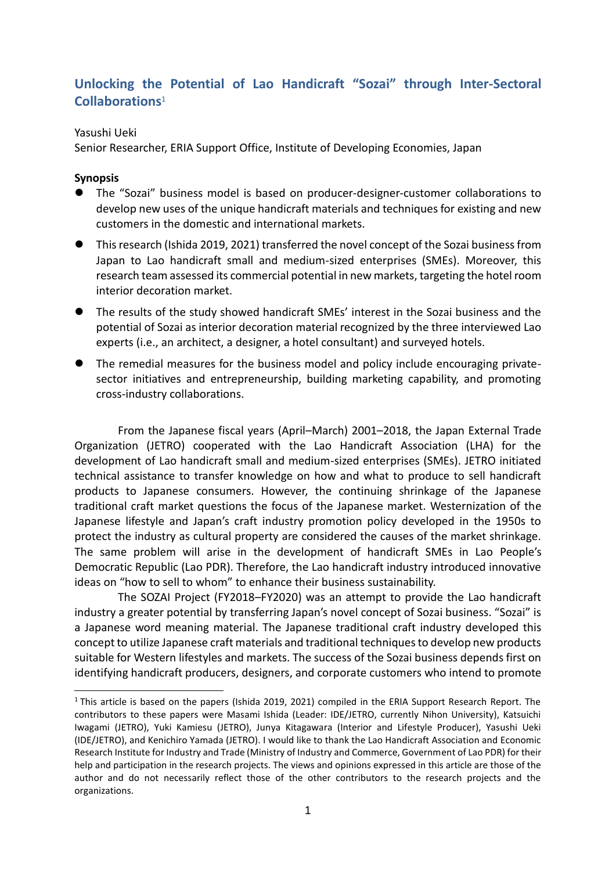## **Unlocking the Potential of Lao Handicraft "Sozai" through Inter-Sectoral Collaborations**<sup>1</sup>

## Yasushi Ueki

Senior Researcher, ERIA Support Office, Institute of Developing Economies, Japan

## **Synopsis**

- ⚫ The "Sozai" business model is based on producer-designer-customer collaborations to develop new uses of the unique handicraft materials and techniques for existing and new customers in the domestic and international markets.
- ⚫ This research (Ishida 2019, 2021) transferred the novel concept of the Sozai business from Japan to Lao handicraft small and medium-sized enterprises (SMEs). Moreover, this research team assessed its commercial potential in new markets, targeting the hotel room interior decoration market.
- ⚫ The results of the study showed handicraft SMEs' interest in the Sozai business and the potential of Sozai as interior decoration material recognized by the three interviewed Lao experts (i.e., an architect, a designer, a hotel consultant) and surveyed hotels.
- The remedial measures for the business model and policy include encouraging privatesector initiatives and entrepreneurship, building marketing capability, and promoting cross-industry collaborations.

From the Japanese fiscal years (April–March) 2001–2018, the Japan External Trade Organization (JETRO) cooperated with the Lao Handicraft Association (LHA) for the development of Lao handicraft small and medium-sized enterprises (SMEs). JETRO initiated technical assistance to transfer knowledge on how and what to produce to sell handicraft products to Japanese consumers. However, the continuing shrinkage of the Japanese traditional craft market questions the focus of the Japanese market. Westernization of the Japanese lifestyle and Japan's craft industry promotion policy developed in the 1950s to protect the industry as cultural property are considered the causes of the market shrinkage. The same problem will arise in the development of handicraft SMEs in Lao People's Democratic Republic (Lao PDR). Therefore, the Lao handicraft industry introduced innovative ideas on "how to sell to whom" to enhance their business sustainability.

The SOZAI Project (FY2018–FY2020) was an attempt to provide the Lao handicraft industry a greater potential by transferring Japan's novel concept of Sozai business. "Sozai" is a Japanese word meaning material. The Japanese traditional craft industry developed this concept to utilize Japanese craft materials and traditional techniques to develop new products suitable for Western lifestyles and markets. The success of the Sozai business depends first on identifying handicraft producers, designers, and corporate customers who intend to promote

<sup>&</sup>lt;sup>1</sup> This article is based on the papers (Ishida 2019, 2021) compiled in the ERIA Support Research Report. The contributors to these papers were Masami Ishida (Leader: IDE/JETRO, currently Nihon University), Katsuichi Iwagami (JETRO), Yuki Kamiesu (JETRO), Junya Kitagawara (Interior and Lifestyle Producer), Yasushi Ueki (IDE/JETRO), and Kenichiro Yamada (JETRO). I would like to thank the Lao Handicraft Association and Economic Research Institute for Industry and Trade (Ministry of Industry and Commerce, Government of Lao PDR) for their help and participation in the research projects. The views and opinions expressed in this article are those of the author and do not necessarily reflect those of the other contributors to the research projects and the organizations.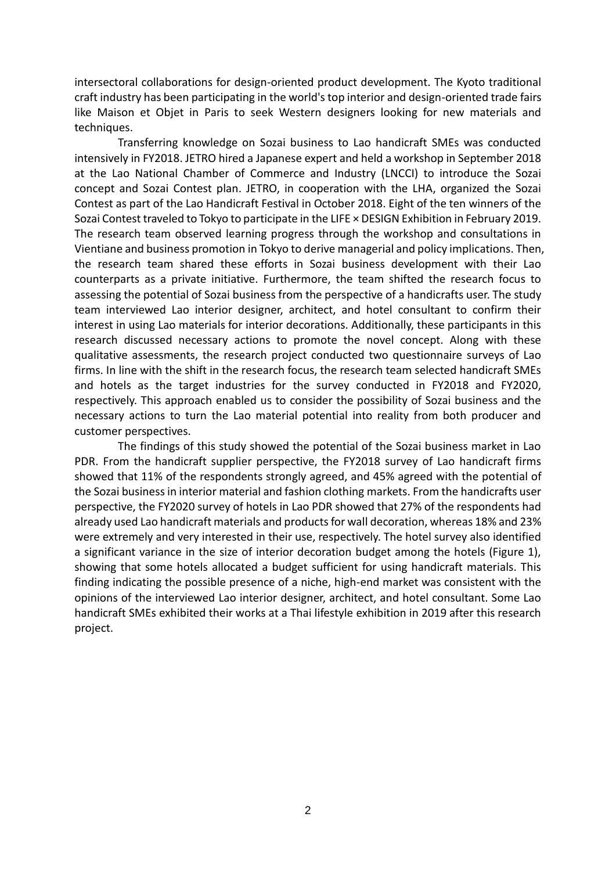intersectoral collaborations for design-oriented product development. The Kyoto traditional craft industry has been participating in the world's top interior and design-oriented trade fairs like Maison et Objet in Paris to seek Western designers looking for new materials and techniques.

Transferring knowledge on Sozai business to Lao handicraft SMEs was conducted intensively in FY2018. JETRO hired a Japanese expert and held a workshop in September 2018 at the Lao National Chamber of Commerce and Industry (LNCCI) to introduce the Sozai concept and Sozai Contest plan. JETRO, in cooperation with the LHA, organized the Sozai Contest as part of the Lao Handicraft Festival in October 2018. Eight of the ten winners of the Sozai Contest traveled to Tokyo to participate in the LIFE × DESIGN Exhibition in February 2019. The research team observed learning progress through the workshop and consultations in Vientiane and business promotion in Tokyo to derive managerial and policy implications. Then, the research team shared these efforts in Sozai business development with their Lao counterparts as a private initiative. Furthermore, the team shifted the research focus to assessing the potential of Sozai business from the perspective of a handicrafts user. The study team interviewed Lao interior designer, architect, and hotel consultant to confirm their interest in using Lao materials for interior decorations. Additionally, these participants in this research discussed necessary actions to promote the novel concept. Along with these qualitative assessments, the research project conducted two questionnaire surveys of Lao firms. In line with the shift in the research focus, the research team selected handicraft SMEs and hotels as the target industries for the survey conducted in FY2018 and FY2020, respectively. This approach enabled us to consider the possibility of Sozai business and the necessary actions to turn the Lao material potential into reality from both producer and customer perspectives.

The findings of this study showed the potential of the Sozai business market in Lao PDR. From the handicraft supplier perspective, the FY2018 survey of Lao handicraft firms showed that 11% of the respondents strongly agreed, and 45% agreed with the potential of the Sozai business in interior material and fashion clothing markets. From the handicrafts user perspective, the FY2020 survey of hotels in Lao PDR showed that 27% of the respondents had already used Lao handicraft materials and products for wall decoration, whereas 18% and 23% were extremely and very interested in their use, respectively. The hotel survey also identified a significant variance in the size of interior decoration budget among the hotels (Figure 1), showing that some hotels allocated a budget sufficient for using handicraft materials. This finding indicating the possible presence of a niche, high-end market was consistent with the opinions of the interviewed Lao interior designer, architect, and hotel consultant. Some Lao handicraft SMEs exhibited their works at a Thai lifestyle exhibition in 2019 after this research project.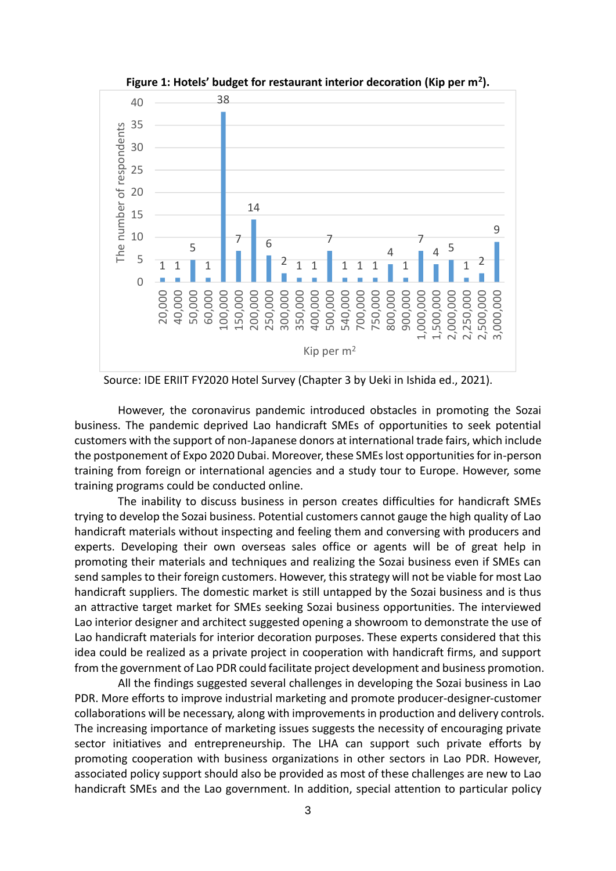

**Figure 1: Hotels' budget for restaurant interior decoration (Kip per m<sup>2</sup> ).**

Source: IDE ERIIT FY2020 Hotel Survey (Chapter 3 by Ueki in Ishida ed., 2021).

However, the coronavirus pandemic introduced obstacles in promoting the Sozai business. The pandemic deprived Lao handicraft SMEs of opportunities to seek potential customers with the support of non-Japanese donors at international trade fairs, which include the postponement of Expo 2020 Dubai. Moreover, these SMEs lost opportunities for in-person training from foreign or international agencies and a study tour to Europe. However, some training programs could be conducted online.

The inability to discuss business in person creates difficulties for handicraft SMEs trying to develop the Sozai business. Potential customers cannot gauge the high quality of Lao handicraft materials without inspecting and feeling them and conversing with producers and experts. Developing their own overseas sales office or agents will be of great help in promoting their materials and techniques and realizing the Sozai business even if SMEs can send samples to their foreign customers. However, this strategy will not be viable for most Lao handicraft suppliers. The domestic market is still untapped by the Sozai business and is thus an attractive target market for SMEs seeking Sozai business opportunities. The interviewed Lao interior designer and architect suggested opening a showroom to demonstrate the use of Lao handicraft materials for interior decoration purposes. These experts considered that this idea could be realized as a private project in cooperation with handicraft firms, and support from the government of Lao PDR could facilitate project development and business promotion.

All the findings suggested several challenges in developing the Sozai business in Lao PDR. More efforts to improve industrial marketing and promote producer-designer-customer collaborations will be necessary, along with improvements in production and delivery controls. The increasing importance of marketing issues suggests the necessity of encouraging private sector initiatives and entrepreneurship. The LHA can support such private efforts by promoting cooperation with business organizations in other sectors in Lao PDR. However, associated policy support should also be provided as most of these challenges are new to Lao handicraft SMEs and the Lao government. In addition, special attention to particular policy